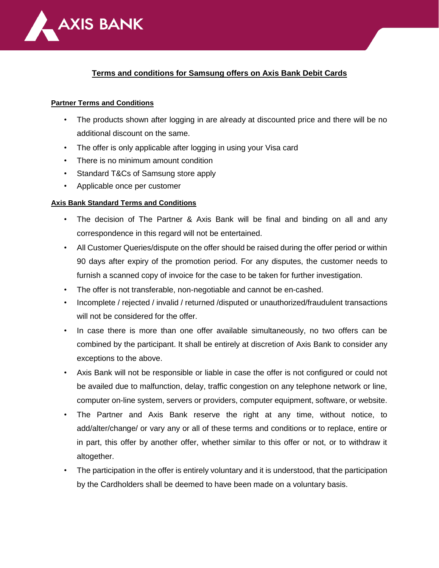

## **Terms and conditions for Samsung offers on Axis Bank Debit Cards**

## **Partner Terms and Conditions**

- The products shown after logging in are already at discounted price and there will be no additional discount on the same.
- The offer is only applicable after logging in using your Visa card
- There is no minimum amount condition
- Standard T&Cs of Samsung store apply
- Applicable once per customer

## **Axis Bank Standard Terms and Conditions**

- The decision of The Partner & Axis Bank will be final and binding on all and any correspondence in this regard will not be entertained.
- All Customer Queries/dispute on the offer should be raised during the offer period or within 90 days after expiry of the promotion period. For any disputes, the customer needs to furnish a scanned copy of invoice for the case to be taken for further investigation.
- The offer is not transferable, non-negotiable and cannot be en-cashed.
- Incomplete / rejected / invalid / returned /disputed or unauthorized/fraudulent transactions will not be considered for the offer.
- In case there is more than one offer available simultaneously, no two offers can be combined by the participant. It shall be entirely at discretion of Axis Bank to consider any exceptions to the above.
- Axis Bank will not be responsible or liable in case the offer is not configured or could not be availed due to malfunction, delay, traffic congestion on any telephone network or line, computer on-line system, servers or providers, computer equipment, software, or website.
- The Partner and Axis Bank reserve the right at any time, without notice, to add/alter/change/ or vary any or all of these terms and conditions or to replace, entire or in part, this offer by another offer, whether similar to this offer or not, or to withdraw it altogether.
- The participation in the offer is entirely voluntary and it is understood, that the participation by the Cardholders shall be deemed to have been made on a voluntary basis.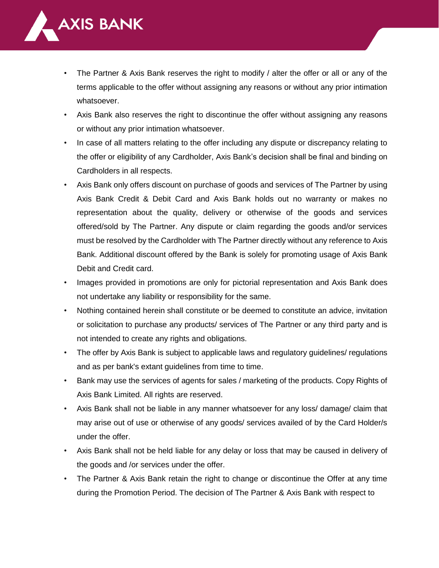

- The Partner & Axis Bank reserves the right to modify / alter the offer or all or any of the terms applicable to the offer without assigning any reasons or without any prior intimation whatsoever.
- Axis Bank also reserves the right to discontinue the offer without assigning any reasons or without any prior intimation whatsoever.
- In case of all matters relating to the offer including any dispute or discrepancy relating to the offer or eligibility of any Cardholder, Axis Bank's decision shall be final and binding on Cardholders in all respects.
- Axis Bank only offers discount on purchase of goods and services of The Partner by using Axis Bank Credit & Debit Card and Axis Bank holds out no warranty or makes no representation about the quality, delivery or otherwise of the goods and services offered/sold by The Partner. Any dispute or claim regarding the goods and/or services must be resolved by the Cardholder with The Partner directly without any reference to Axis Bank. Additional discount offered by the Bank is solely for promoting usage of Axis Bank Debit and Credit card.
- Images provided in promotions are only for pictorial representation and Axis Bank does not undertake any liability or responsibility for the same.
- Nothing contained herein shall constitute or be deemed to constitute an advice, invitation or solicitation to purchase any products/ services of The Partner or any third party and is not intended to create any rights and obligations.
- The offer by Axis Bank is subject to applicable laws and regulatory guidelines/ regulations and as per bank's extant guidelines from time to time.
- Bank may use the services of agents for sales / marketing of the products. Copy Rights of Axis Bank Limited. All rights are reserved.
- Axis Bank shall not be liable in any manner whatsoever for any loss/ damage/ claim that may arise out of use or otherwise of any goods/ services availed of by the Card Holder/s under the offer.
- Axis Bank shall not be held liable for any delay or loss that may be caused in delivery of the goods and /or services under the offer.
- The Partner & Axis Bank retain the right to change or discontinue the Offer at any time during the Promotion Period. The decision of The Partner & Axis Bank with respect to